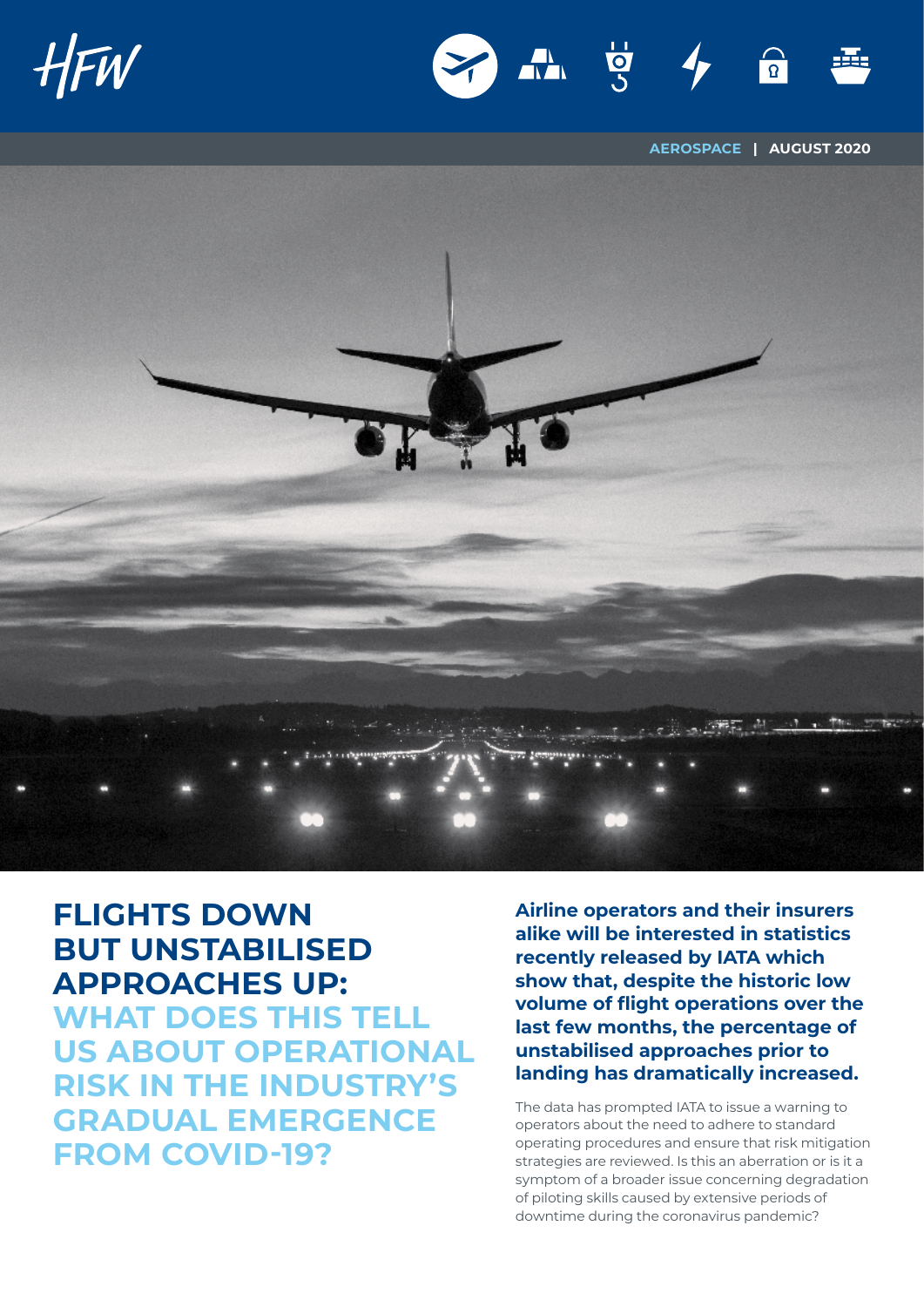



**AEROSPACE | AUGUST 2020**



## **FLIGHTS DOWN BUT UNSTABILISED APPROACHES UP:**

**WHAT DOES THIS TELL US ABOUT OPERATIONAL RISK IN THE INDUSTRY'S GRADUAL EMERGENCE FROM COVID-19?**

**Airline operators and their insurers alike will be interested in statistics recently released by IATA which show that, despite the historic low volume of flight operations over the last few months, the percentage of unstabilised approaches prior to landing has dramatically increased.**

The data has prompted IATA to issue a warning to operators about the need to adhere to standard operating procedures and ensure that risk mitigation strategies are reviewed. Is this an aberration or is it a symptom of a broader issue concerning degradation of piloting skills caused by extensive periods of downtime during the coronavirus pandemic?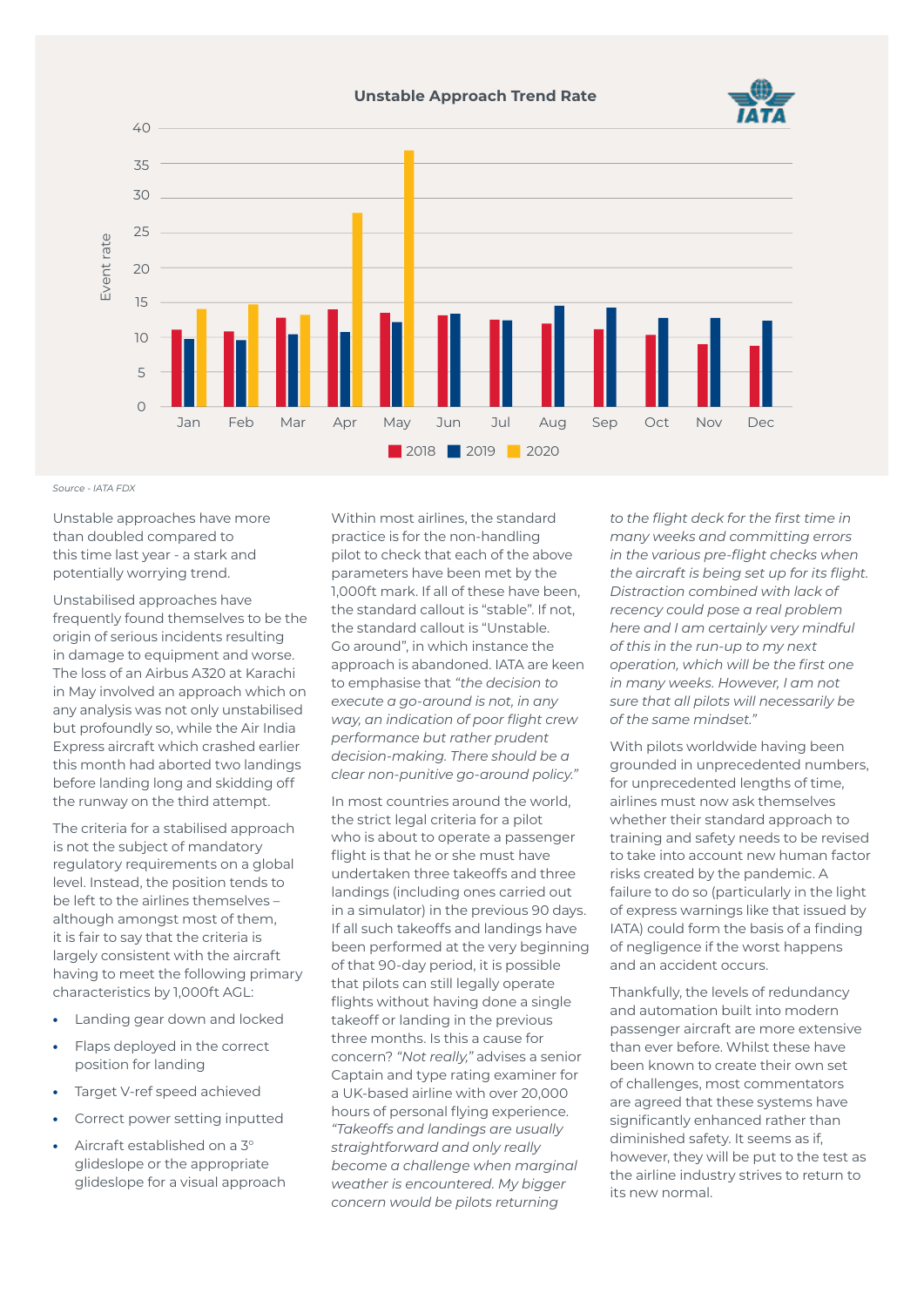

*Source - IATA FDX*

Unstable approaches have more than doubled compared to this time last year - a stark and potentially worrying trend.

Unstabilised approaches have frequently found themselves to be the origin of serious incidents resulting in damage to equipment and worse. The loss of an Airbus A320 at Karachi in May involved an approach which on any analysis was not only unstabilised but profoundly so, while the Air India Express aircraft which crashed earlier this month had aborted two landings before landing long and skidding off the runway on the third attempt.

The criteria for a stabilised approach is not the subject of mandatory regulatory requirements on a global level. Instead, the position tends to be left to the airlines themselves – although amongst most of them, it is fair to say that the criteria is largely consistent with the aircraft having to meet the following primary characteristics by 1,000ft AGL:

- **•** Landing gear down and locked
- **•** Flaps deployed in the correct position for landing
- **•** Target V-ref speed achieved
- **•** Correct power setting inputted
- **•** Aircraft established on a 3° glideslope or the appropriate glideslope for a visual approach

Within most airlines, the standard practice is for the non-handling pilot to check that each of the above parameters have been met by the 1,000ft mark. If all of these have been, the standard callout is "stable". If not, the standard callout is "Unstable. Go around", in which instance the approach is abandoned. IATA are keen to emphasise that *"the decision to execute a go-around is not, in any way, an indication of poor flight crew performance but rather prudent decision-making. There should be a clear non-punitive go-around policy."*

In most countries around the world, the strict legal criteria for a pilot who is about to operate a passenger flight is that he or she must have undertaken three takeoffs and three landings (including ones carried out in a simulator) in the previous 90 days. If all such takeoffs and landings have been performed at the very beginning of that 90-day period, it is possible that pilots can still legally operate flights without having done a single takeoff or landing in the previous three months. Is this a cause for concern? *"Not really,"* advises a senior Captain and type rating examiner for a UK-based airline with over 20,000 hours of personal flying experience. *"Takeoffs and landings are usually straightforward and only really become a challenge when marginal weather is encountered. My bigger concern would be pilots returning* 

*to the flight deck for the first time in many weeks and committing errors in the various pre-flight checks when the aircraft is being set up for its flight. Distraction combined with lack of recency could pose a real problem here and I am certainly very mindful of this in the run-up to my next operation, which will be the first one in many weeks. However, I am not sure that all pilots will necessarily be of the same mindset."*

With pilots worldwide having been grounded in unprecedented numbers, for unprecedented lengths of time, airlines must now ask themselves whether their standard approach to training and safety needs to be revised to take into account new human factor risks created by the pandemic. A failure to do so (particularly in the light of express warnings like that issued by IATA) could form the basis of a finding of negligence if the worst happens and an accident occurs.

Thankfully, the levels of redundancy and automation built into modern passenger aircraft are more extensive than ever before. Whilst these have been known to create their own set of challenges, most commentators are agreed that these systems have significantly enhanced rather than diminished safety. It seems as if, however, they will be put to the test as the airline industry strives to return to its new normal.